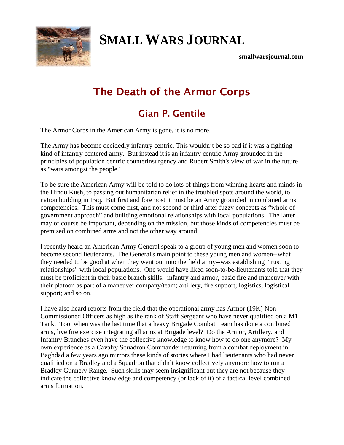

## **[SMALL WARS JOURNAL](http://smallwarsjournal.com/)**

**smallwarsjournal.com**

## **The Death of the Armor Corps**

## **Gian P. Gentile**

The Armor Corps in the American Army is gone, it is no more.

The Army has become decidedly infantry centric. This wouldn't be so bad if it was a fighting kind of infantry centered army. But instead it is an infantry centric Army grounded in the principles of population centric counterinsurgency and Rupert Smith's view of war in the future as "wars amongst the people."

To be sure the American Army will be told to do lots of things from winning hearts and minds in the Hindu Kush, to passing out humanitarian relief in the troubled spots around the world, to nation building in Iraq. But first and foremost it must be an Army grounded in combined arms competencies. This must come first, and not second or third after fuzzy concepts as "whole of government approach" and building emotional relationships with local populations. The latter may of course be important, depending on the mission, but those kinds of competencies must be premised on combined arms and not the other way around.

I recently heard an American Army General speak to a group of young men and women soon to become second lieutenants. The General's main point to these young men and women--what they needed to be good at when they went out into the field army--was establishing "trusting relationships" with local populations. One would have liked soon-to-be-lieutenants told that they must be proficient in their basic branch skills: infantry and armor, basic fire and maneuver with their platoon as part of a maneuver company/team; artillery, fire support; logistics, logistical support; and so on.

I have also heard reports from the field that the operational army has Armor (19K) Non Commissioned Officers as high as the rank of Staff Sergeant who have never qualified on a M1 Tank. Too, when was the last time that a heavy Brigade Combat Team has done a combined arms, live fire exercise integrating all arms at Brigade level? Do the Armor, Artillery, and Infantry Branches even have the collective knowledge to know how to do one anymore? My own experience as a Cavalry Squadron Commander returning from a combat deployment in Baghdad a few years ago mirrors these kinds of stories where I had lieutenants who had never qualified on a Bradley and a Squadron that didn't know collectively anymore how to run a Bradley Gunnery Range. Such skills may seem insignificant but they are not because they indicate the collective knowledge and competency (or lack of it) of a tactical level combined arms formation.